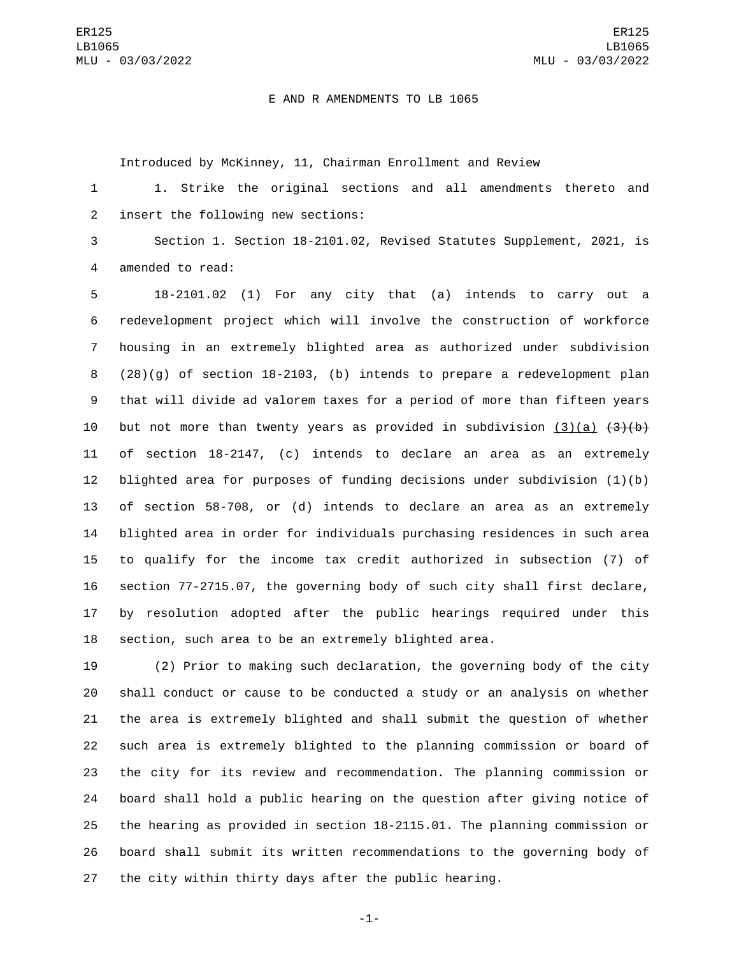## E AND R AMENDMENTS TO LB 1065

Introduced by McKinney, 11, Chairman Enrollment and Review

 1. Strike the original sections and all amendments thereto and 2 insert the following new sections:

 Section 1. Section 18-2101.02, Revised Statutes Supplement, 2021, is 4 amended to read:

 18-2101.02 (1) For any city that (a) intends to carry out a redevelopment project which will involve the construction of workforce housing in an extremely blighted area as authorized under subdivision (28)(g) of section 18-2103, (b) intends to prepare a redevelopment plan that will divide ad valorem taxes for a period of more than fifteen years 10 but not more than twenty years as provided in subdivision (3)(a)  $\{3\}$ (b) of section 18-2147, (c) intends to declare an area as an extremely blighted area for purposes of funding decisions under subdivision (1)(b) of section 58-708, or (d) intends to declare an area as an extremely blighted area in order for individuals purchasing residences in such area to qualify for the income tax credit authorized in subsection (7) of section 77-2715.07, the governing body of such city shall first declare, by resolution adopted after the public hearings required under this section, such area to be an extremely blighted area.

 (2) Prior to making such declaration, the governing body of the city shall conduct or cause to be conducted a study or an analysis on whether the area is extremely blighted and shall submit the question of whether such area is extremely blighted to the planning commission or board of the city for its review and recommendation. The planning commission or board shall hold a public hearing on the question after giving notice of the hearing as provided in section 18-2115.01. The planning commission or board shall submit its written recommendations to the governing body of the city within thirty days after the public hearing.

-1-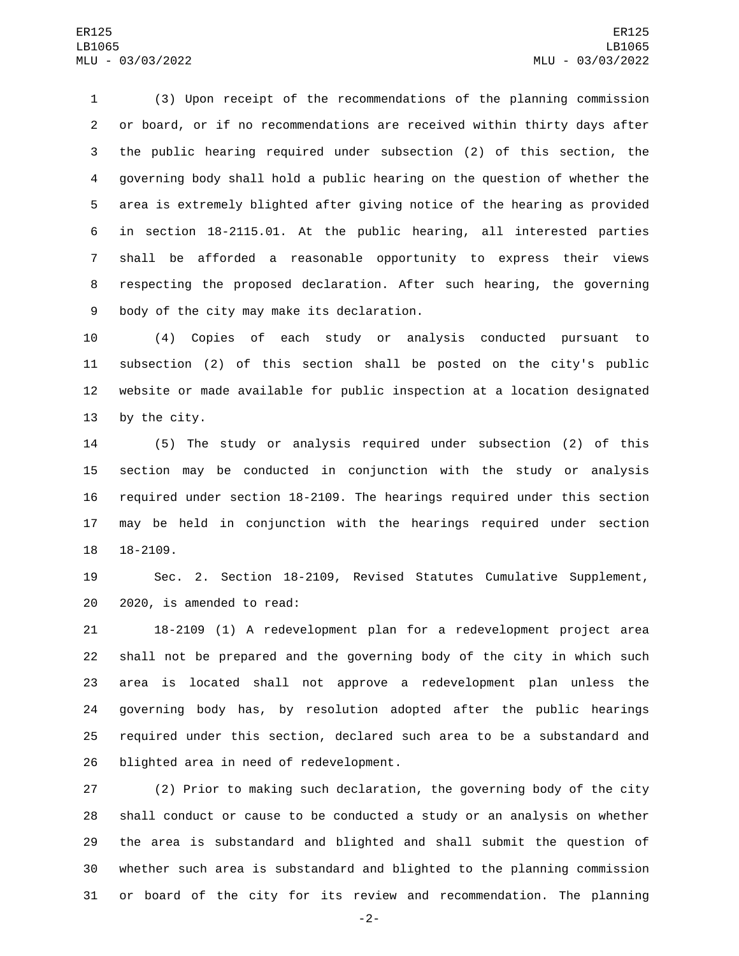(3) Upon receipt of the recommendations of the planning commission or board, or if no recommendations are received within thirty days after the public hearing required under subsection (2) of this section, the governing body shall hold a public hearing on the question of whether the area is extremely blighted after giving notice of the hearing as provided in section 18-2115.01. At the public hearing, all interested parties shall be afforded a reasonable opportunity to express their views respecting the proposed declaration. After such hearing, the governing 9 body of the city may make its declaration.

 (4) Copies of each study or analysis conducted pursuant to subsection (2) of this section shall be posted on the city's public website or made available for public inspection at a location designated 13 by the city.

 (5) The study or analysis required under subsection (2) of this section may be conducted in conjunction with the study or analysis required under section 18-2109. The hearings required under this section may be held in conjunction with the hearings required under section 18-2109.

 Sec. 2. Section 18-2109, Revised Statutes Cumulative Supplement, 20 2020, is amended to read:

 18-2109 (1) A redevelopment plan for a redevelopment project area shall not be prepared and the governing body of the city in which such area is located shall not approve a redevelopment plan unless the governing body has, by resolution adopted after the public hearings required under this section, declared such area to be a substandard and 26 blighted area in need of redevelopment.

 (2) Prior to making such declaration, the governing body of the city shall conduct or cause to be conducted a study or an analysis on whether the area is substandard and blighted and shall submit the question of whether such area is substandard and blighted to the planning commission or board of the city for its review and recommendation. The planning

-2-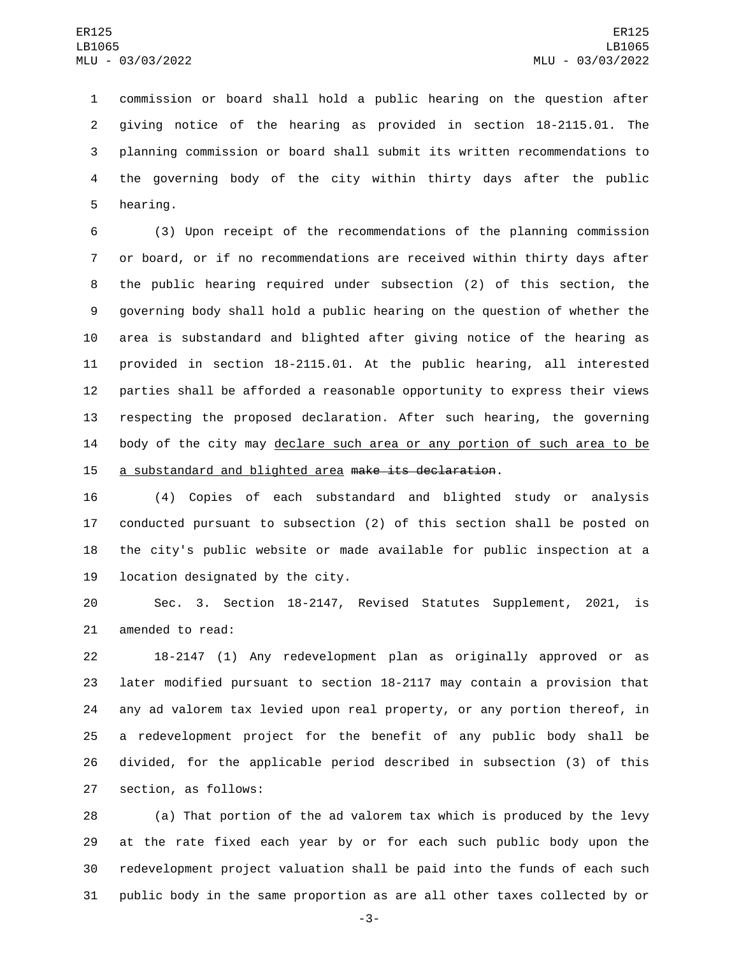commission or board shall hold a public hearing on the question after giving notice of the hearing as provided in section 18-2115.01. The planning commission or board shall submit its written recommendations to the governing body of the city within thirty days after the public 5 hearing.

 (3) Upon receipt of the recommendations of the planning commission or board, or if no recommendations are received within thirty days after the public hearing required under subsection (2) of this section, the governing body shall hold a public hearing on the question of whether the area is substandard and blighted after giving notice of the hearing as provided in section 18-2115.01. At the public hearing, all interested parties shall be afforded a reasonable opportunity to express their views respecting the proposed declaration. After such hearing, the governing 14 body of the city may declare such area or any portion of such area to be a substandard and blighted area make its declaration.

 (4) Copies of each substandard and blighted study or analysis conducted pursuant to subsection (2) of this section shall be posted on the city's public website or made available for public inspection at a 19 location designated by the city.

 Sec. 3. Section 18-2147, Revised Statutes Supplement, 2021, is 21 amended to read:

 18-2147 (1) Any redevelopment plan as originally approved or as later modified pursuant to section 18-2117 may contain a provision that any ad valorem tax levied upon real property, or any portion thereof, in a redevelopment project for the benefit of any public body shall be divided, for the applicable period described in subsection (3) of this 27 section, as follows:

 (a) That portion of the ad valorem tax which is produced by the levy at the rate fixed each year by or for each such public body upon the redevelopment project valuation shall be paid into the funds of each such public body in the same proportion as are all other taxes collected by or

-3-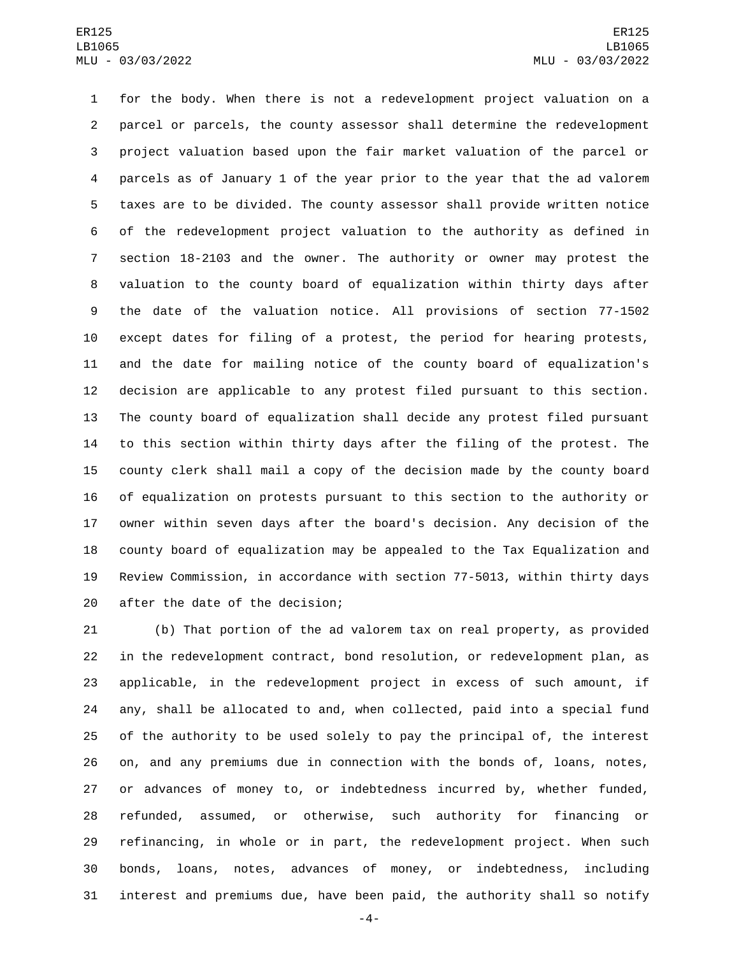for the body. When there is not a redevelopment project valuation on a parcel or parcels, the county assessor shall determine the redevelopment project valuation based upon the fair market valuation of the parcel or parcels as of January 1 of the year prior to the year that the ad valorem taxes are to be divided. The county assessor shall provide written notice of the redevelopment project valuation to the authority as defined in section 18-2103 and the owner. The authority or owner may protest the valuation to the county board of equalization within thirty days after the date of the valuation notice. All provisions of section 77-1502 except dates for filing of a protest, the period for hearing protests, and the date for mailing notice of the county board of equalization's decision are applicable to any protest filed pursuant to this section. The county board of equalization shall decide any protest filed pursuant to this section within thirty days after the filing of the protest. The county clerk shall mail a copy of the decision made by the county board of equalization on protests pursuant to this section to the authority or owner within seven days after the board's decision. Any decision of the county board of equalization may be appealed to the Tax Equalization and Review Commission, in accordance with section 77-5013, within thirty days 20 after the date of the decision;

 (b) That portion of the ad valorem tax on real property, as provided in the redevelopment contract, bond resolution, or redevelopment plan, as applicable, in the redevelopment project in excess of such amount, if any, shall be allocated to and, when collected, paid into a special fund of the authority to be used solely to pay the principal of, the interest on, and any premiums due in connection with the bonds of, loans, notes, or advances of money to, or indebtedness incurred by, whether funded, refunded, assumed, or otherwise, such authority for financing or refinancing, in whole or in part, the redevelopment project. When such bonds, loans, notes, advances of money, or indebtedness, including interest and premiums due, have been paid, the authority shall so notify

-4-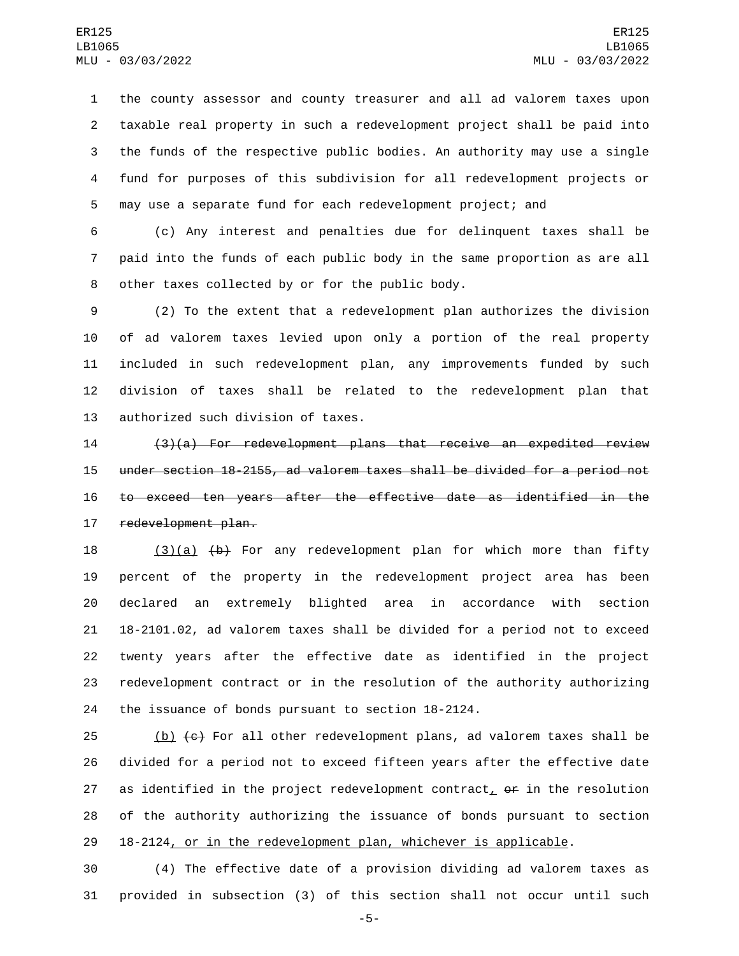the county assessor and county treasurer and all ad valorem taxes upon taxable real property in such a redevelopment project shall be paid into the funds of the respective public bodies. An authority may use a single fund for purposes of this subdivision for all redevelopment projects or may use a separate fund for each redevelopment project; and

 (c) Any interest and penalties due for delinquent taxes shall be paid into the funds of each public body in the same proportion as are all 8 other taxes collected by or for the public body.

 (2) To the extent that a redevelopment plan authorizes the division of ad valorem taxes levied upon only a portion of the real property included in such redevelopment plan, any improvements funded by such division of taxes shall be related to the redevelopment plan that 13 authorized such division of taxes.

 (3)(a) For redevelopment plans that receive an expedited review under section 18-2155, ad valorem taxes shall be divided for a period not to exceed ten years after the effective date as identified in the 17 redevelopment plan.

 $(3)(a)$   $(b)$  For any redevelopment plan for which more than fifty percent of the property in the redevelopment project area has been declared an extremely blighted area in accordance with section 18-2101.02, ad valorem taxes shall be divided for a period not to exceed twenty years after the effective date as identified in the project redevelopment contract or in the resolution of the authority authorizing the issuance of bonds pursuant to section 18-2124.

25 (b)  $\left\lbrace \epsilon \right\rbrace$  For all other redevelopment plans, ad valorem taxes shall be divided for a period not to exceed fifteen years after the effective date 27 as identified in the project redevelopment contract,  $\rho$  in the resolution of the authority authorizing the issuance of bonds pursuant to section 18-2124, or in the redevelopment plan, whichever is applicable.

 (4) The effective date of a provision dividing ad valorem taxes as provided in subsection (3) of this section shall not occur until such

-5-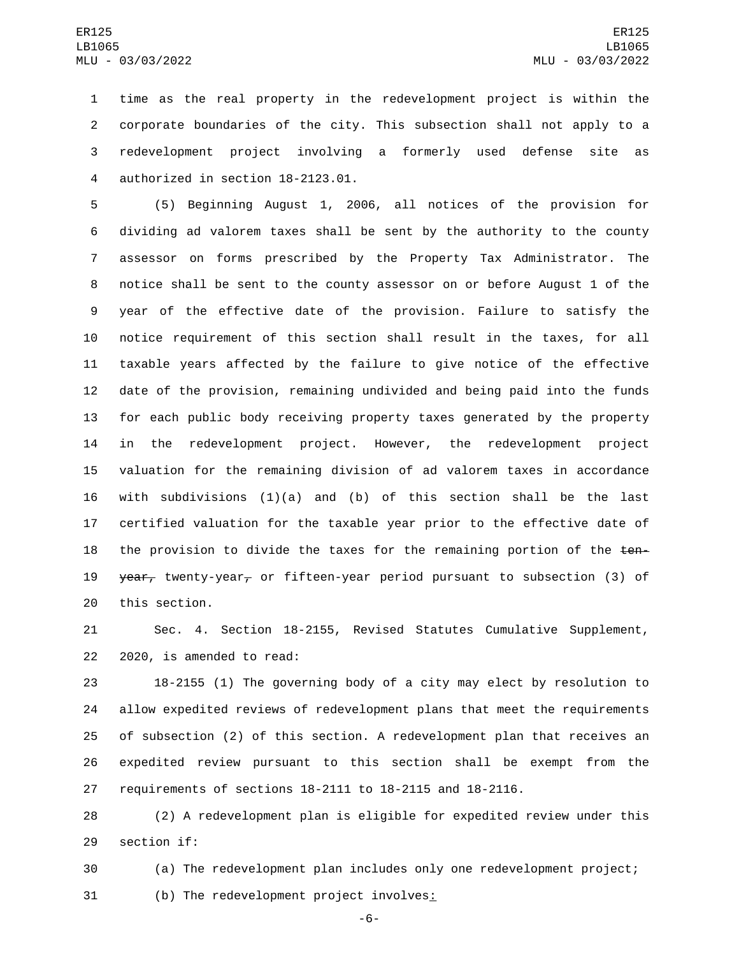time as the real property in the redevelopment project is within the corporate boundaries of the city. This subsection shall not apply to a redevelopment project involving a formerly used defense site as authorized in section 18-2123.01.4

 (5) Beginning August 1, 2006, all notices of the provision for dividing ad valorem taxes shall be sent by the authority to the county assessor on forms prescribed by the Property Tax Administrator. The notice shall be sent to the county assessor on or before August 1 of the year of the effective date of the provision. Failure to satisfy the notice requirement of this section shall result in the taxes, for all taxable years affected by the failure to give notice of the effective date of the provision, remaining undivided and being paid into the funds for each public body receiving property taxes generated by the property in the redevelopment project. However, the redevelopment project valuation for the remaining division of ad valorem taxes in accordance with subdivisions (1)(a) and (b) of this section shall be the last certified valuation for the taxable year prior to the effective date of 18 the provision to divide the taxes for the remaining portion of the  $t$ en- $\theta$  year, twenty-year, or fifteen-year period pursuant to subsection (3) of 20 this section.

 Sec. 4. Section 18-2155, Revised Statutes Cumulative Supplement, 22 2020, is amended to read:

 18-2155 (1) The governing body of a city may elect by resolution to allow expedited reviews of redevelopment plans that meet the requirements of subsection (2) of this section. A redevelopment plan that receives an expedited review pursuant to this section shall be exempt from the requirements of sections 18-2111 to 18-2115 and 18-2116.

 (2) A redevelopment plan is eligible for expedited review under this 29 section if:

 (a) The redevelopment plan includes only one redevelopment project; (b) The redevelopment project involves:

-6-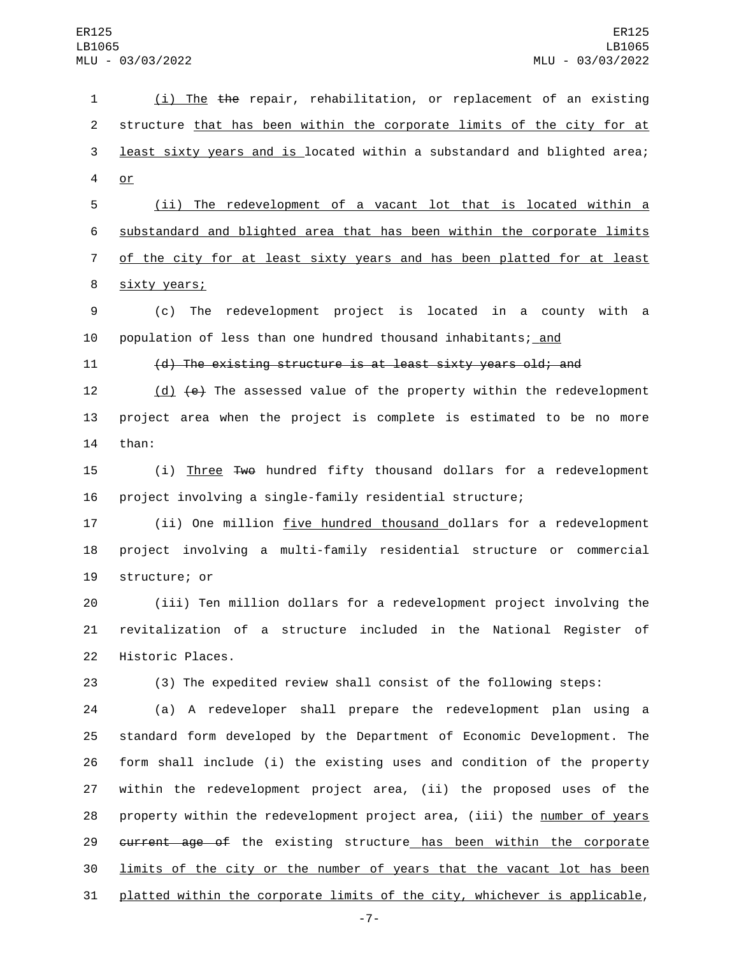1 (i) The the repair, rehabilitation, or replacement of an existing 2 structure that has been within the corporate limits of the city for at 3 least sixty years and is located within a substandard and blighted area; 4 or

 (ii) The redevelopment of a vacant lot that is located within a substandard and blighted area that has been within the corporate limits of the city for at least sixty years and has been platted for at least 8 sixty years;

9 (c) The redevelopment project is located in a county with a 10 population of less than one hundred thousand inhabitants; and

11 (d) The existing structure is at least sixty years old; and

12 (d) (e) The assessed value of the property within the redevelopment 13 project area when the project is complete is estimated to be no more 14 than:

15 (i) Three Two hundred fifty thousand dollars for a redevelopment 16 project involving a single-family residential structure;

17 (ii) One million five hundred thousand dollars for a redevelopment 18 project involving a multi-family residential structure or commercial 19 structure; or

20 (iii) Ten million dollars for a redevelopment project involving the 21 revitalization of a structure included in the National Register of 22 Historic Places.

23 (3) The expedited review shall consist of the following steps:

 (a) A redeveloper shall prepare the redevelopment plan using a standard form developed by the Department of Economic Development. The form shall include (i) the existing uses and condition of the property within the redevelopment project area, (ii) the proposed uses of the property within the redevelopment project area, (iii) the number of years 29 current age of the existing structure has been within the corporate limits of the city or the number of years that the vacant lot has been platted within the corporate limits of the city, whichever is applicable,

-7-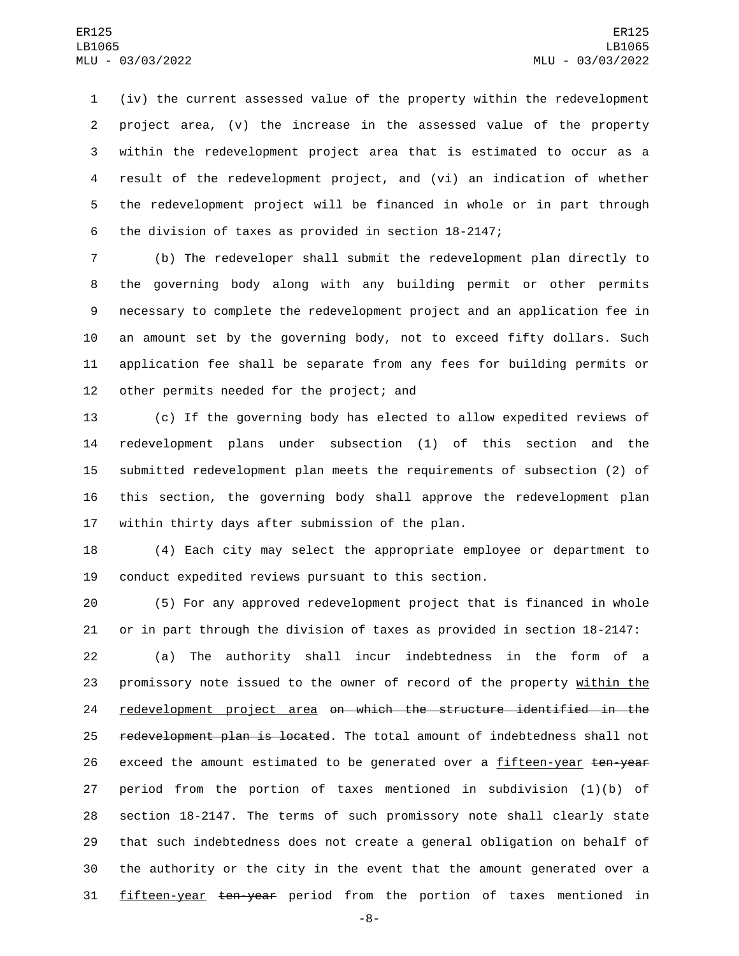(iv) the current assessed value of the property within the redevelopment project area, (v) the increase in the assessed value of the property within the redevelopment project area that is estimated to occur as a result of the redevelopment project, and (vi) an indication of whether the redevelopment project will be financed in whole or in part through the division of taxes as provided in section 18-2147;

 (b) The redeveloper shall submit the redevelopment plan directly to the governing body along with any building permit or other permits necessary to complete the redevelopment project and an application fee in an amount set by the governing body, not to exceed fifty dollars. Such application fee shall be separate from any fees for building permits or 12 other permits needed for the project; and

 (c) If the governing body has elected to allow expedited reviews of redevelopment plans under subsection (1) of this section and the submitted redevelopment plan meets the requirements of subsection (2) of this section, the governing body shall approve the redevelopment plan 17 within thirty days after submission of the plan.

 (4) Each city may select the appropriate employee or department to conduct expedited reviews pursuant to this section.

 (5) For any approved redevelopment project that is financed in whole or in part through the division of taxes as provided in section 18-2147:

 (a) The authority shall incur indebtedness in the form of a 23 promissory note issued to the owner of record of the property within the redevelopment project area on which the structure identified in the 25 redevelopment plan is located. The total amount of indebtedness shall not 26 exceed the amount estimated to be generated over a fifteen-year ten-year period from the portion of taxes mentioned in subdivision (1)(b) of section 18-2147. The terms of such promissory note shall clearly state that such indebtedness does not create a general obligation on behalf of the authority or the city in the event that the amount generated over a fifteen-year ten-year period from the portion of taxes mentioned in

-8-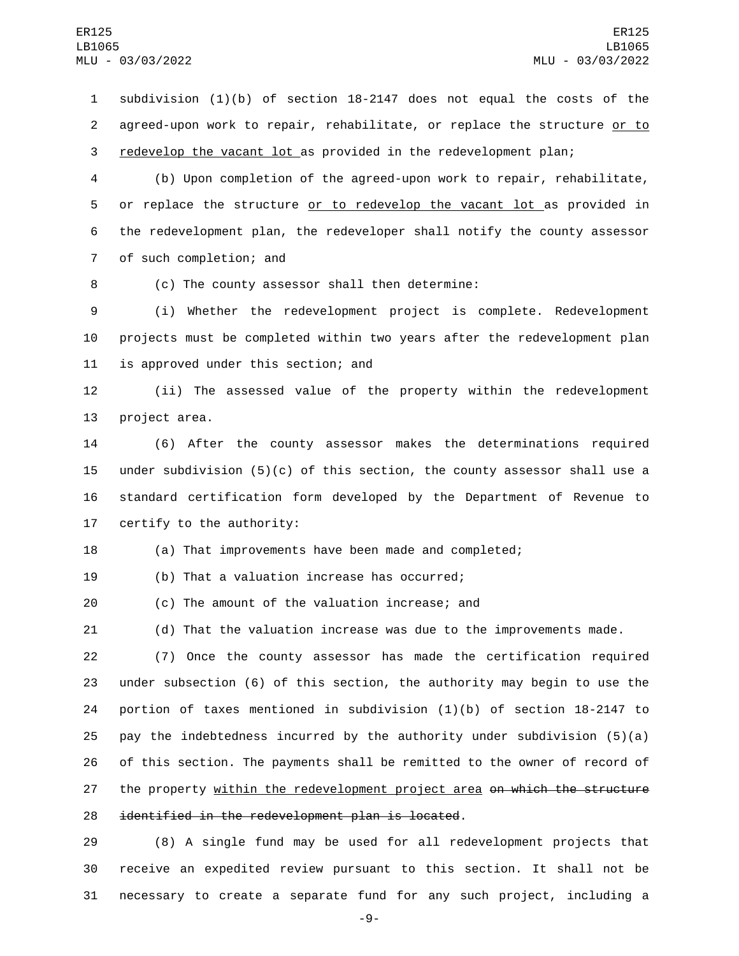1 subdivision (1)(b) of section 18-2147 does not equal the costs of the 2 agreed-upon work to repair, rehabilitate, or replace the structure or to 3 redevelop the vacant lot as provided in the redevelopment plan;

4 (b) Upon completion of the agreed-upon work to repair, rehabilitate, 5 or replace the structure or to redevelop the vacant lot as provided in 6 the redevelopment plan, the redeveloper shall notify the county assessor 7 of such completion; and

8 (c) The county assessor shall then determine:

9 (i) Whether the redevelopment project is complete. Redevelopment 10 projects must be completed within two years after the redevelopment plan 11 is approved under this section; and

12 (ii) The assessed value of the property within the redevelopment 13 project area.

 (6) After the county assessor makes the determinations required under subdivision (5)(c) of this section, the county assessor shall use a standard certification form developed by the Department of Revenue to certify to the authority:

18 (a) That improvements have been made and completed;

19 (b) That a valuation increase has occurred;

20 (c) The amount of the valuation increase; and

21 (d) That the valuation increase was due to the improvements made.

22 (7) Once the county assessor has made the certification required 23 under subsection (6) of this section, the authority may begin to use the 24 portion of taxes mentioned in subdivision (1)(b) of section 18-2147 to 25 pay the indebtedness incurred by the authority under subdivision  $(5)(a)$ 26 of this section. The payments shall be remitted to the owner of record of 27 the property within the redevelopment project area on which the structure 28 identified in the redevelopment plan is located.

29 (8) A single fund may be used for all redevelopment projects that 30 receive an expedited review pursuant to this section. It shall not be 31 necessary to create a separate fund for any such project, including a

-9-